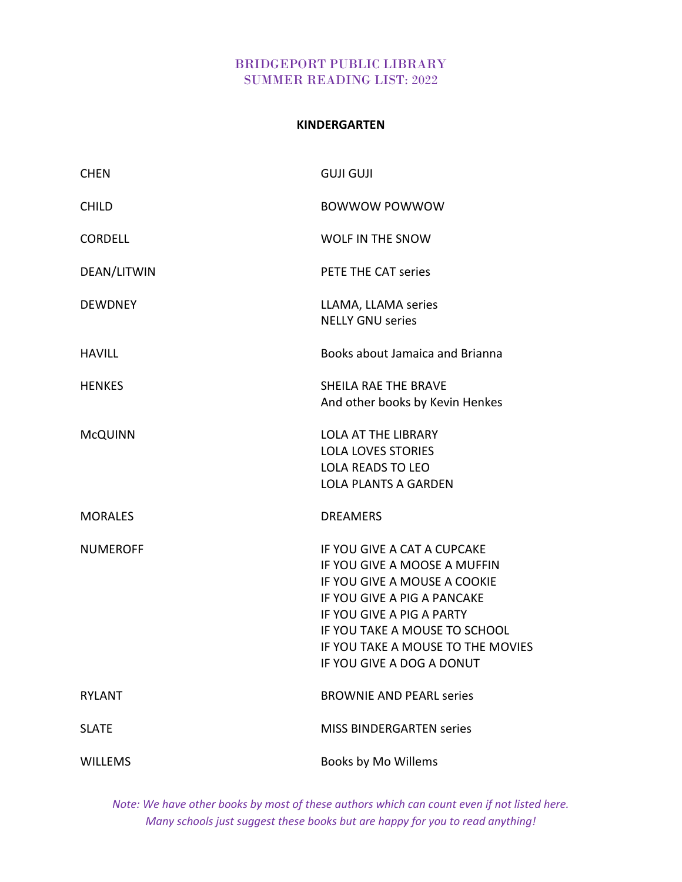### **KINDERGARTEN**

| <b>CHEN</b>     | <b>GUJI GUJI</b>                                                                                                                                                                                                                                           |
|-----------------|------------------------------------------------------------------------------------------------------------------------------------------------------------------------------------------------------------------------------------------------------------|
| <b>CHILD</b>    | <b>BOWWOW POWWOW</b>                                                                                                                                                                                                                                       |
| <b>CORDELL</b>  | <b>WOLF IN THE SNOW</b>                                                                                                                                                                                                                                    |
| DEAN/LITWIN     | PETE THE CAT series                                                                                                                                                                                                                                        |
| <b>DEWDNEY</b>  | LLAMA, LLAMA series<br><b>NELLY GNU series</b>                                                                                                                                                                                                             |
| <b>HAVILL</b>   | Books about Jamaica and Brianna                                                                                                                                                                                                                            |
| <b>HENKES</b>   | <b>SHEILA RAE THE BRAVE</b><br>And other books by Kevin Henkes                                                                                                                                                                                             |
| <b>McQUINN</b>  | <b>LOLA AT THE LIBRARY</b><br><b>LOLA LOVES STORIES</b><br><b>LOLA READS TO LEO</b><br><b>LOLA PLANTS A GARDEN</b>                                                                                                                                         |
| <b>MORALES</b>  | <b>DREAMERS</b>                                                                                                                                                                                                                                            |
| <b>NUMEROFF</b> | IF YOU GIVE A CAT A CUPCAKE<br>IF YOU GIVE A MOOSE A MUFFIN<br>IF YOU GIVE A MOUSE A COOKIE<br>IF YOU GIVE A PIG A PANCAKE<br>IF YOU GIVE A PIG A PARTY<br>IF YOU TAKE A MOUSE TO SCHOOL<br>IF YOU TAKE A MOUSE TO THE MOVIES<br>IF YOU GIVE A DOG A DONUT |
| <b>RYLANT</b>   | <b>BROWNIE AND PEARL series</b>                                                                                                                                                                                                                            |
| <b>SLATE</b>    | <b>MISS BINDERGARTEN series</b>                                                                                                                                                                                                                            |
| <b>WILLEMS</b>  | Books by Mo Willems                                                                                                                                                                                                                                        |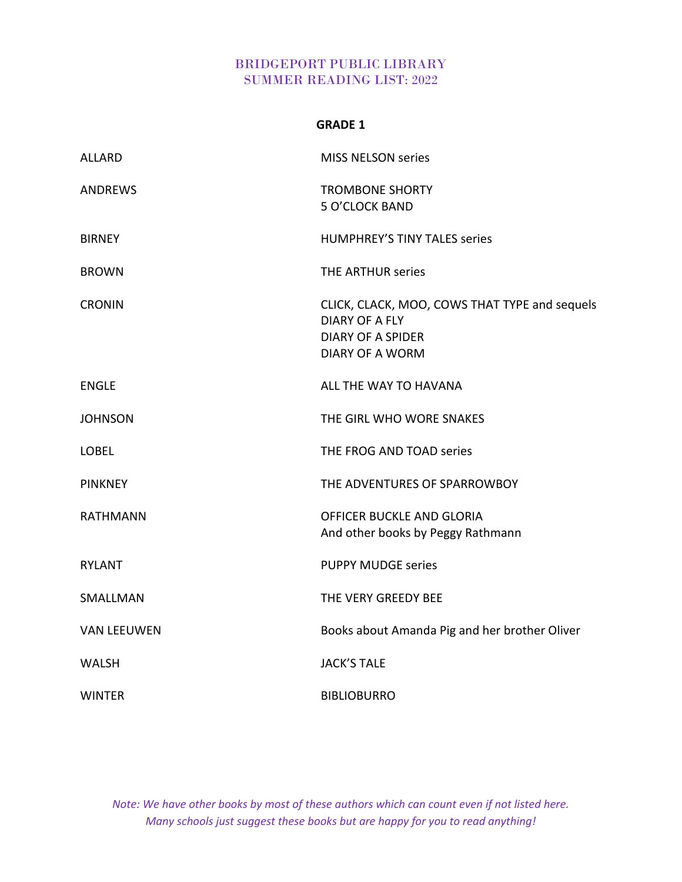| GRADE |  |
|-------|--|
|-------|--|

| <b>ALLARD</b>      | <b>MISS NELSON series</b>                                                                                                    |
|--------------------|------------------------------------------------------------------------------------------------------------------------------|
| <b>ANDREWS</b>     | <b>TROMBONE SHORTY</b><br>5 O'CLOCK BAND                                                                                     |
| <b>BIRNEY</b>      | <b>HUMPHREY'S TINY TALES series</b>                                                                                          |
| <b>BROWN</b>       | THE ARTHUR series                                                                                                            |
| <b>CRONIN</b>      | CLICK, CLACK, MOO, COWS THAT TYPE and sequels<br><b>DIARY OF A FLY</b><br><b>DIARY OF A SPIDER</b><br><b>DIARY OF A WORM</b> |
| <b>ENGLE</b>       | ALL THE WAY TO HAVANA                                                                                                        |
| <b>JOHNSON</b>     | THE GIRL WHO WORE SNAKES                                                                                                     |
| <b>LOBEL</b>       | THE FROG AND TOAD series                                                                                                     |
| <b>PINKNEY</b>     | THE ADVENTURES OF SPARROWBOY                                                                                                 |
| <b>RATHMANN</b>    | OFFICER BUCKLE AND GLORIA<br>And other books by Peggy Rathmann                                                               |
| <b>RYLANT</b>      | <b>PUPPY MUDGE series</b>                                                                                                    |
| SMALLMAN           | THE VERY GREEDY BEE                                                                                                          |
| <b>VAN LEEUWEN</b> | Books about Amanda Pig and her brother Oliver                                                                                |
| <b>WALSH</b>       | <b>JACK'S TALE</b>                                                                                                           |
| <b>WINTER</b>      | <b>BIBLIOBURRO</b>                                                                                                           |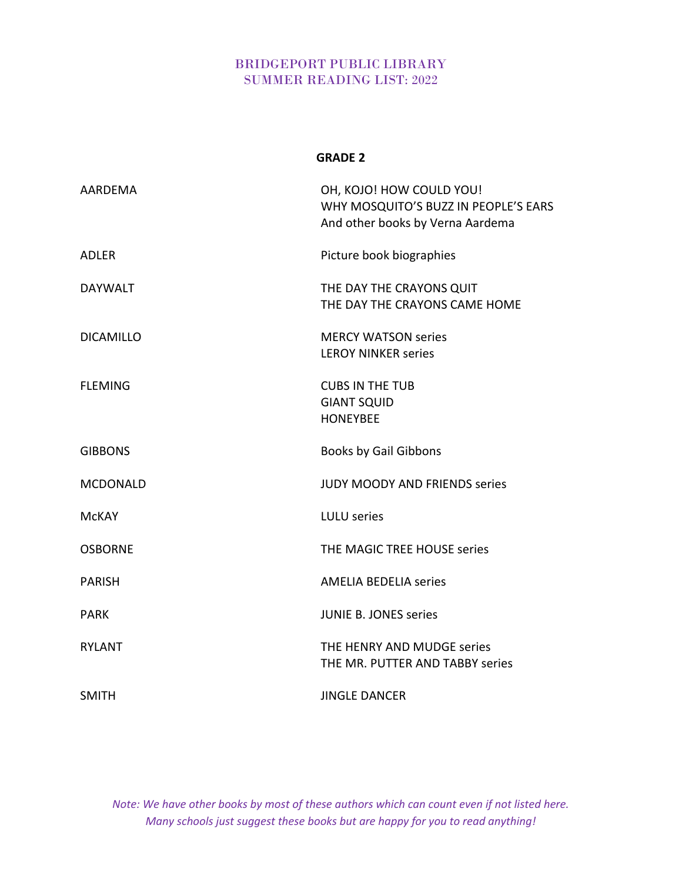|                  | <b>GRADE 2</b>                                                                                       |
|------------------|------------------------------------------------------------------------------------------------------|
| AARDEMA          | OH, KOJO! HOW COULD YOU!<br>WHY MOSQUITO'S BUZZ IN PEOPLE'S EARS<br>And other books by Verna Aardema |
| <b>ADLER</b>     | Picture book biographies                                                                             |
| <b>DAYWALT</b>   | THE DAY THE CRAYONS QUIT<br>THE DAY THE CRAYONS CAME HOME                                            |
| <b>DICAMILLO</b> | <b>MERCY WATSON series</b><br><b>LEROY NINKER series</b>                                             |
| <b>FLEMING</b>   | <b>CUBS IN THE TUB</b><br><b>GIANT SQUID</b><br><b>HONEYBEE</b>                                      |
| <b>GIBBONS</b>   | <b>Books by Gail Gibbons</b>                                                                         |
| <b>MCDONALD</b>  | <b>JUDY MOODY AND FRIENDS series</b>                                                                 |
| <b>MCKAY</b>     | <b>LULU</b> series                                                                                   |
| <b>OSBORNE</b>   | THE MAGIC TREE HOUSE series                                                                          |
| <b>PARISH</b>    | <b>AMELIA BEDELIA series</b>                                                                         |
| <b>PARK</b>      | <b>JUNIE B. JONES series</b>                                                                         |
| <b>RYLANT</b>    | THE HENRY AND MUDGE series<br>THE MR. PUTTER AND TABBY series                                        |
| <b>SMITH</b>     | <b>JINGLE DANCER</b>                                                                                 |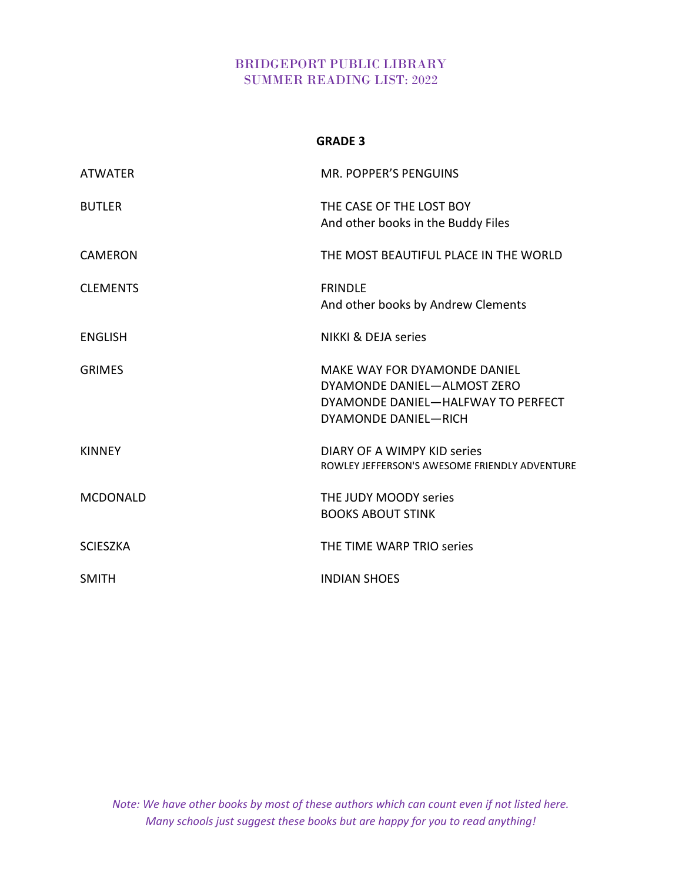#### **GRADE 3**

| <b>ATWATER</b>  | <b>MR. POPPER'S PENGUINS</b>                                                                                                     |
|-----------------|----------------------------------------------------------------------------------------------------------------------------------|
| <b>BUTLER</b>   | THE CASE OF THE LOST BOY<br>And other books in the Buddy Files                                                                   |
| <b>CAMERON</b>  | THE MOST BEAUTIFUL PLACE IN THE WORLD                                                                                            |
| <b>CLEMENTS</b> | <b>FRINDLE</b><br>And other books by Andrew Clements                                                                             |
| <b>ENGLISH</b>  | <b>NIKKI &amp; DEJA series</b>                                                                                                   |
| <b>GRIMES</b>   | MAKE WAY FOR DYAMONDE DANIEL<br>DYAMONDE DANIEL-ALMOST ZERO<br>DYAMONDE DANIEL-HALFWAY TO PERFECT<br><b>DYAMONDE DANIEL-RICH</b> |
| <b>KINNEY</b>   | DIARY OF A WIMPY KID series<br>ROWLEY JEFFERSON'S AWESOME FRIENDLY ADVENTURE                                                     |
| <b>MCDONALD</b> | THE JUDY MOODY series<br><b>BOOKS ABOUT STINK</b>                                                                                |
| <b>SCIESZKA</b> | THE TIME WARP TRIO series                                                                                                        |
| <b>SMITH</b>    | <b>INDIAN SHOES</b>                                                                                                              |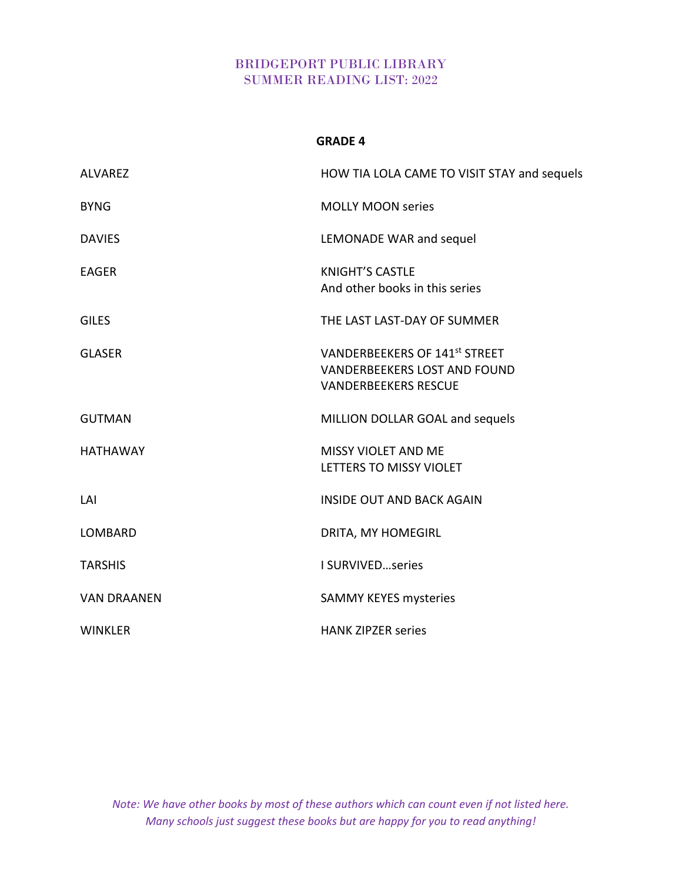### **GRADE 4**

| <b>ALVAREZ</b>     | HOW TIA LOLA CAME TO VISIT STAY and sequels                                                                |
|--------------------|------------------------------------------------------------------------------------------------------------|
| <b>BYNG</b>        | <b>MOLLY MOON series</b>                                                                                   |
| <b>DAVIES</b>      | LEMONADE WAR and sequel                                                                                    |
| <b>EAGER</b>       | <b>KNIGHT'S CASTLE</b><br>And other books in this series                                                   |
| <b>GILES</b>       | THE LAST LAST-DAY OF SUMMER                                                                                |
| <b>GLASER</b>      | <b>VANDERBEEKERS OF 141st STREET</b><br><b>VANDERBEEKERS LOST AND FOUND</b><br><b>VANDERBEEKERS RESCUE</b> |
| <b>GUTMAN</b>      | MILLION DOLLAR GOAL and sequels                                                                            |
| <b>HATHAWAY</b>    | <b>MISSY VIOLET AND ME</b><br>LETTERS TO MISSY VIOLET                                                      |
| LAI                | <b>INSIDE OUT AND BACK AGAIN</b>                                                                           |
| <b>LOMBARD</b>     | DRITA, MY HOMEGIRL                                                                                         |
| <b>TARSHIS</b>     | I SURVIVEDseries                                                                                           |
| <b>VAN DRAANEN</b> | <b>SAMMY KEYES mysteries</b>                                                                               |
| <b>WINKLER</b>     | <b>HANK ZIPZER series</b>                                                                                  |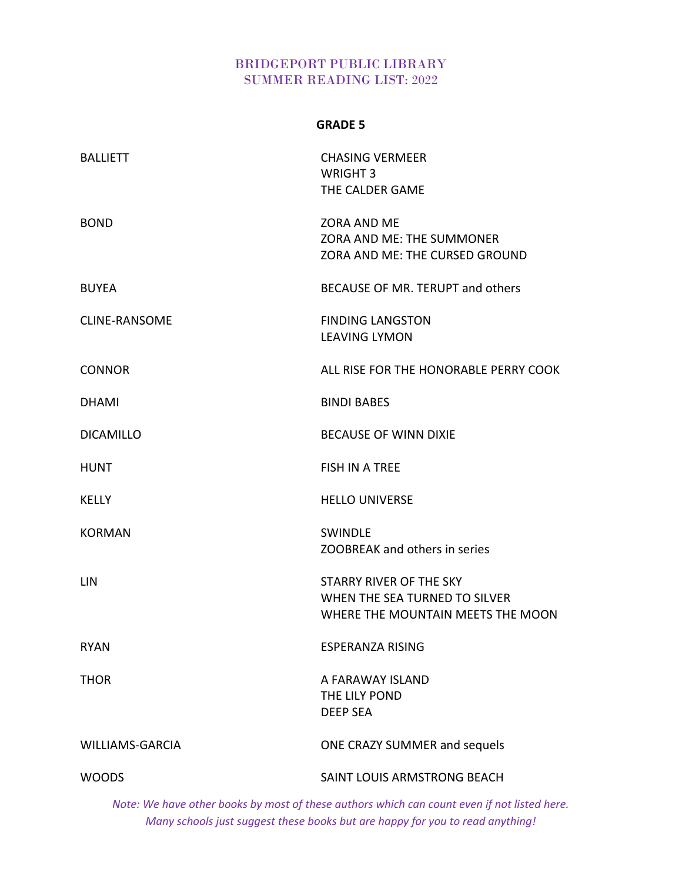### **GRADE 5**

| <b>BALLIETT</b>        | <b>CHASING VERMEER</b><br>WRIGHT 3                                                            |
|------------------------|-----------------------------------------------------------------------------------------------|
|                        | THE CALDER GAME                                                                               |
| <b>BOND</b>            | <b>ZORA AND ME</b><br>ZORA AND ME: THE SUMMONER<br>ZORA AND ME: THE CURSED GROUND             |
| <b>BUYEA</b>           | BECAUSE OF MR. TERUPT and others                                                              |
| <b>CLINE-RANSOME</b>   | <b>FINDING LANGSTON</b><br><b>LEAVING LYMON</b>                                               |
| <b>CONNOR</b>          | ALL RISE FOR THE HONORABLE PERRY COOK                                                         |
| <b>DHAMI</b>           | <b>BINDI BABES</b>                                                                            |
| <b>DICAMILLO</b>       | <b>BECAUSE OF WINN DIXIE</b>                                                                  |
| <b>HUNT</b>            | <b>FISH IN A TREE</b>                                                                         |
| <b>KELLY</b>           | <b>HELLO UNIVERSE</b>                                                                         |
| <b>KORMAN</b>          | <b>SWINDLE</b><br>ZOOBREAK and others in series                                               |
| LIN                    | STARRY RIVER OF THE SKY<br>WHEN THE SEA TURNED TO SILVER<br>WHERE THE MOUNTAIN MEETS THE MOON |
| <b>RYAN</b>            | <b>ESPERANZA RISING</b>                                                                       |
| <b>THOR</b>            | A FARAWAY ISLAND<br>THE LILY POND<br><b>DEEP SEA</b>                                          |
| <b>WILLIAMS-GARCIA</b> | ONE CRAZY SUMMER and sequels                                                                  |
| <b>WOODS</b>           | SAINT LOUIS ARMSTRONG BEACH                                                                   |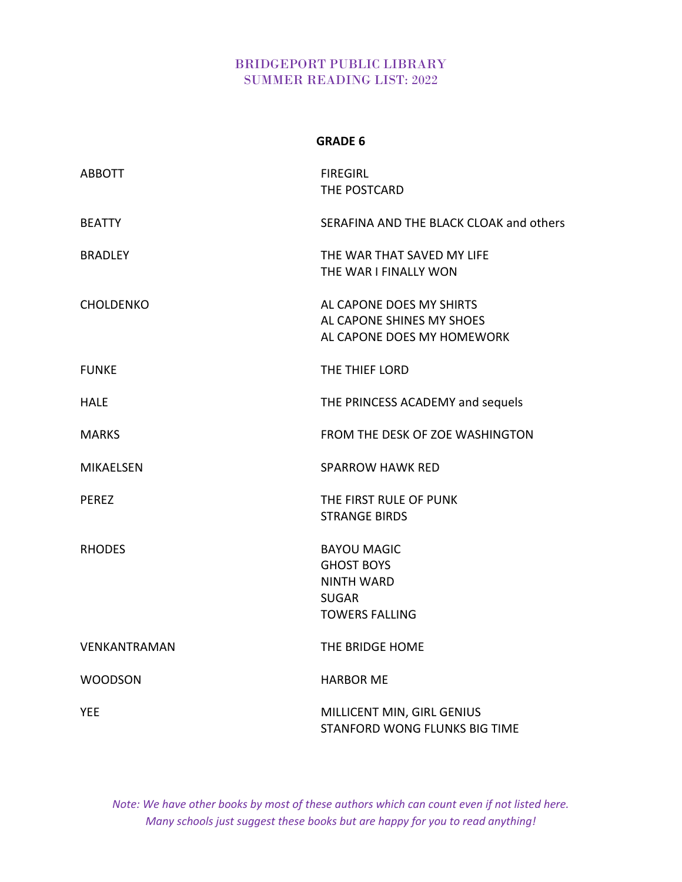### **GRADE 6**

| <b>ABBOTT</b>       | <b>FIREGIRL</b><br>THE POSTCARD                                                                       |
|---------------------|-------------------------------------------------------------------------------------------------------|
| <b>BEATTY</b>       | SERAFINA AND THE BLACK CLOAK and others                                                               |
| <b>BRADLEY</b>      | THE WAR THAT SAVED MY LIFE<br>THE WAR I FINALLY WON                                                   |
| <b>CHOLDENKO</b>    | AL CAPONE DOES MY SHIRTS<br>AL CAPONE SHINES MY SHOES<br>AL CAPONE DOES MY HOMEWORK                   |
| <b>FUNKE</b>        | THE THIEF LORD                                                                                        |
| <b>HALE</b>         | THE PRINCESS ACADEMY and sequels                                                                      |
| <b>MARKS</b>        | FROM THE DESK OF ZOE WASHINGTON                                                                       |
| <b>MIKAELSEN</b>    | <b>SPARROW HAWK RED</b>                                                                               |
| <b>PEREZ</b>        | THE FIRST RULE OF PUNK<br><b>STRANGE BIRDS</b>                                                        |
| <b>RHODES</b>       | <b>BAYOU MAGIC</b><br><b>GHOST BOYS</b><br><b>NINTH WARD</b><br><b>SUGAR</b><br><b>TOWERS FALLING</b> |
| <b>VENKANTRAMAN</b> | THE BRIDGE HOME                                                                                       |
| <b>WOODSON</b>      | <b>HARBOR ME</b>                                                                                      |
| <b>YEE</b>          | MILLICENT MIN, GIRL GENIUS<br>STANFORD WONG FLUNKS BIG TIME                                           |